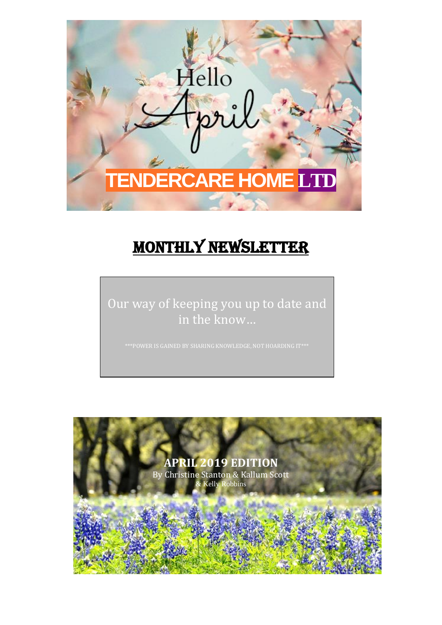

# MONTHLY NEWSLETTER

Our way of keeping you up to date and in the know…

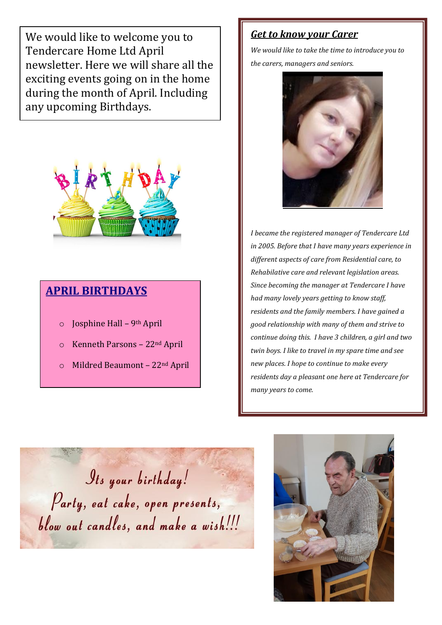We would like to welcome you to Tendercare Home Ltd April newsletter. Here we will share all the exciting events going on in the home during the month of April. Including any upcoming Birthdays.



### **APRIL BIRTHDAYS**

- $\circ$  Josphine Hall 9<sup>th</sup> April
- o Kenneth Parsons 22nd April
- o Mildred Beaumont 22nd April

#### *Get to know your Carer*

*We would like to take the time to introduce you to the carers, managers and seniors.* 



*I became the registered manager of Tendercare Ltd in 2005. Before that I have many years experience in different aspects of care from Residential care, to Rehabilative care and relevant legislation areas. Since becoming the manager at Tendercare I have had many lovely years getting to know staff, residents and the family members. I have gained a good relationship with many of them and strive to continue doing this. I have 3 children, a girl and two twin boys. I like to travel in my spare time and see new places. I hope to continue to make every residents day a pleasant one here at Tendercare for many years to come.* 

*Its your birthday!* Party, eat cake, open presents, blow out candles, and make a wish!!!

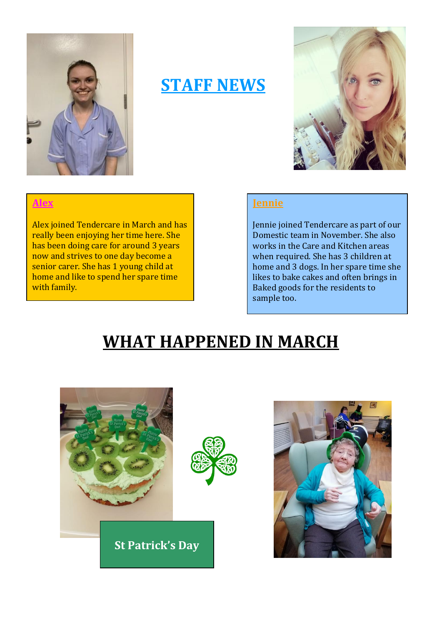

## **STAFF NEWS**



#### **Alex**

Alex joined Tendercare in March and has really been enjoying her time here. She has been doing care for around 3 years now and strives to one day become a senior carer. She has 1 young child at home and like to spend her spare time with family.

#### **Jennie**

Jennie joined Tendercare as part of our Domestic team in November. She also works in the Care and Kitchen areas when required. She has 3 children at home and 3 dogs. In her spare time she likes to bake cakes and often brings in Baked goods for the residents to sample too.

## **WHAT HAPPENED IN MARCH**



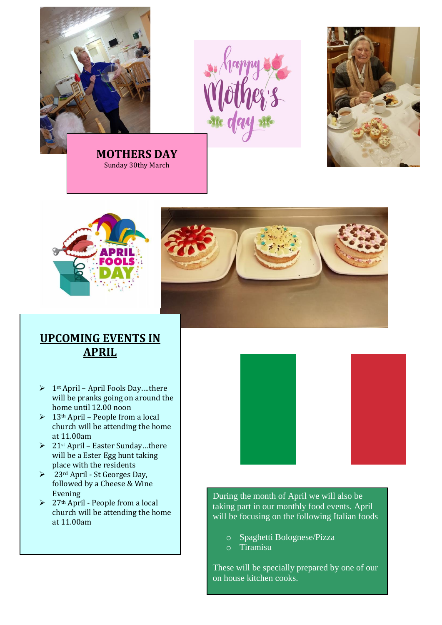





### **UPCOMING EVENTS IN APRIL**

- $\triangleright$  1<sup>st</sup> April April Fools Day....there will be pranks going on around the home until 12.00 noon
- $\geq 13$ <sup>th</sup> April People from a local church will be attending the home at 11.00am
- $\geq 21$ <sup>st</sup> April Easter Sunday...there will be a Ester Egg hunt taking place with the residents
- $\geq 23$ <sup>rd</sup> April St Georges Day, followed by a Cheese & Wine Evening
- ➢ 27th April People from a local church will be attending the home at 11.00am





During the month of April we will also be taking part in our monthly food events. April will be focusing on the following Italian foods

- o Spaghetti Bolognese/Pizza
- o Tiramisu

These will be specially prepared by one of our on house kitchen cooks.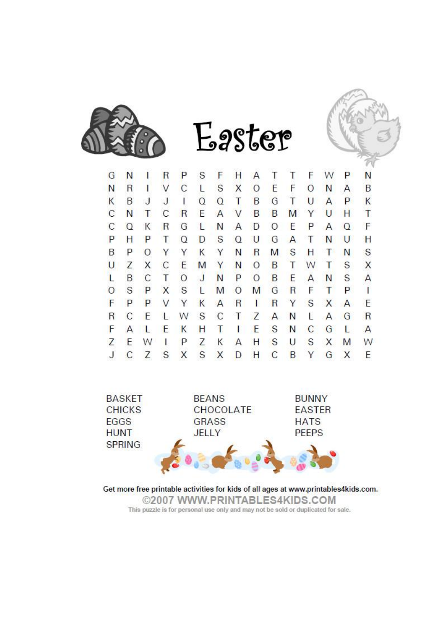



R S F T F P G N  $\overline{1}$ P  $H$ T W N  $\overline{A}$ N  $\overline{C}$ S E  $\mathsf{R}$  $\overline{1}$ V L  $\times$  $\circ$ F  $\circ$ N A B K <sub>B</sub> J  $\overline{J}$ Ť  $\Omega$  $\Omega$ T B G T  $\cup$ A p. K C N T  $\mathsf{C}$  $\overline{\mathsf{R}}$ E  $\overline{A}$ V B B Y  $\cup$ H T M C  $\Omega$ K  $\mathsf{R}$ G  $\mathbf{1}$ N A  $\mathsf{D}$  $\circ$ E P  $\overline{A}$  $\Omega$ F P H P T  $\Omega$ D S  $\Omega$  $\cup$ G  $\overline{A}$ Τ N U Н B P. S S  $\circ$ Y Y  $\mathsf{K}$ Y N  $\mathsf{R}$ M H T N  $\mathcal{C}$ B Ü  $\overline{7}$ X F M Y N  $\Omega$ T W т S X  $\mathcal{C}$ L B T  $\circ$ J N P  $\Omega$ B E  $\overline{A}$ S A N  $\Omega$ S P  $\mathsf{x}$ S L M  $\Omega$ M G  $\mathsf{R}$ F T P  $\mathbf{I}$ F P P  $\vee$ Y  $\overline{\mathsf{R}}$ S X E K  $\overline{A}$  $\overline{\mathsf{R}}$  $\mathbf{I}$ Y  $\mathsf{A}$  $\mathsf{R}$ C E W S C T Z A Ľ  $\overline{A}$ G  $\mathsf{R}$ L N F A L E K Н T T E S N C G L  $\overline{A}$ Z S E S W  $\mathbb{R}$ P Ζ U X M W Κ A Н Ĵ  $\overline{C}$ Z S X S X D  $H$  $\mathsf{C}$ B G Y X E

Easter



Get more free printable activities for kids of all ages at www.printables4kids.com. ©2007 WWW.PRINTABLES4KIDS.COM This puzzle is for personal use only and may not be sold or duplicated for sale.